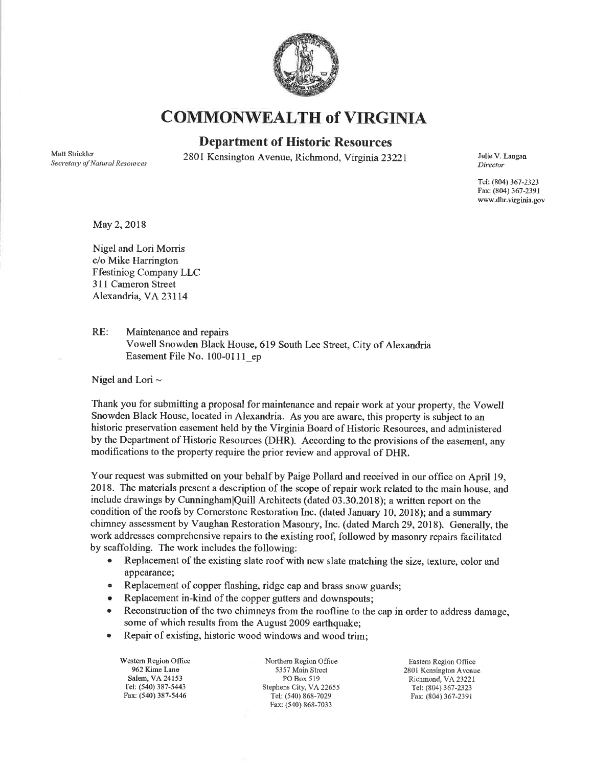

## COMMONWEALTH of VIRGINIA

## Department of Historic Resources

Matt Strickler Secretary of Natural Resources

2801 Kensington Avenue, Richmond, Virginia 23221 Julie V. Langan

Director

Tel: (8M) 367-2323 Fax: (804) 367-239I www.dhr.virginia.gov

May 2, 2018

Nigel and Lori Morris c/o Mike Harrington Ffestiniog Company LLC 311 Cameron Street Alexandria, VA23lI4

RE: Maintenance and repairs Vowell Snowden Black House, 619 South Lee Street, City of Alexandria Easement File No. 100-011l\_ep

Nigel and Lori  $\sim$ 

Thank you for submitting a proposal for maintenance and repair work at your property, the Vowell Snowden Black House, located in Alexandria. As you are aware, this property is subject to an historic preservation easement held by the Virginia Board of Historic Resources, and administered by the Department of Historic Resources (DHR). According to the provisions of the easement, any modifications to the property require the prior review and approval of DHR.

Your request was submitted on your behalf by Paige Pollard and received in our office on April 19, 2018. The materials present a description of the scope of repair work relafed to the main house, and include drawings by CunninghamlQuill Architects (dated 03.30.2018); a written report on the condition of the roofs by Cornerstone Restoration Inc. (dated January 10, 2018); and a summary chimney assessment by Vaughan Restoration Masonry, Inc. (dated March 29,2018). Generally, the work addresses comprehensive repairs to the existing roof, followed by masonry repairs facilitated by scaffolding. The work includes the following:

- Replacement of the existing slate roof with new slate matching the size, texture, color and appearance;
- Replacement of copper flashing, ridge cap and brass snow guards;
- Replacement in-kind of the copper gutters and downspouts;
- Reconstruction of the two chimneys from the roofline to the cap in order to address damage, some of which results from the Augnst 2009 earthquake;
- Repair of existing, historic wood windows and wood trim;

Westem Region Office 962 Kime Lane Salem, VA 24153 Tel: (540) 387-5443 Fax: (540) 387-5446

Northern Region Office 5357 Main Street PO Box 519 Stephens City, VA 22655 Tel: (540) 868-7029 Fax: (540) 868-7033

Eastem Region Offìce 2801 KcnsingtonAvcnue Richmond, VA 23221 Tel: (804) 367-2323 Fax: (804) 367-2391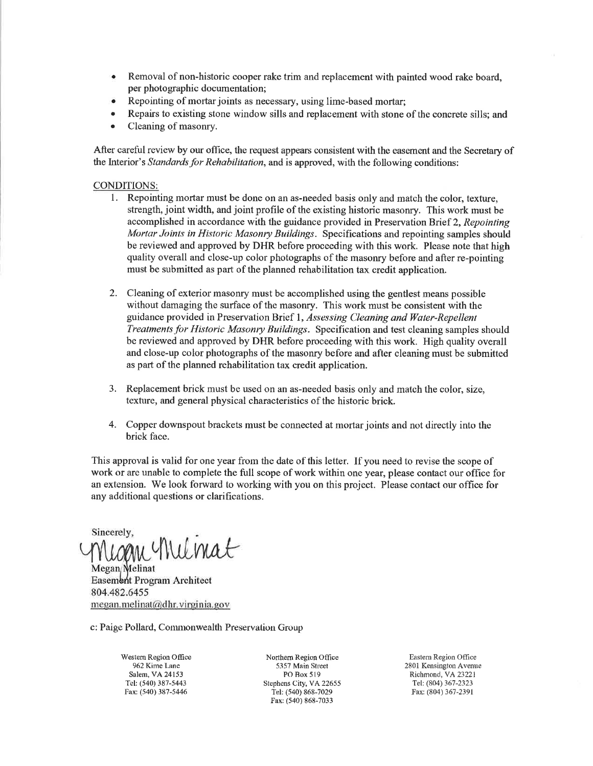- . Removal of non-historic cooper rake trim and replacement with painted wood rake board, per photographic documentation;
- Repointing of mortar joints as necessary, using lime-based mortar;
- Repairs to existing stone window sills and replacement with stone of the concrete sills; and
- Cleaning of masonry.

After careful review by our office, the request appears consistent with the easement and the Secretary of the Interior's Standards for Rehabilitation, and is approved, with the following conditions:

## CONDITIONS:

- l. Repointing mortar must be done on an as-needed basis only and match the color, texture, strength, joint width, and joint profile of the existing historic masonry. This work must be accomplished in accordance with the guidance provided in Preservation Brief 2, Repointing Mortar Joints in Historic Masonry Buildings. Specifications and repointing samples should be reviewed and approved by DHR before proceeding with this work. Please note that high quality overall and close-up color photographs of the masonry before and after re-pointing must be submitted as part of the planned rehabilitation tax credit application.
- 2. Cleaning of exterior masonry must be accomplished using the gentlest means possible without damaging the surface of the masonry. This work must be consistent with the guidance provided in Preservation Brief 1, Assessing Cleaning and Water-Repellent Treatments þr Historic Masonry Buildings. Specification and test cleaning samples should be reviewed and approved by DHR before proceeding with this work. High quality overall and close-up color photographs of the masonry before and after cleaning must be submitted as part of the planned rehabilitation tax credit application.
- 3. Replacement brick must be used on an as-needed basis only and match the color, size, texture, and general physical characteristics of the historic brick.
- 4. Copper downspout brackets must be connected at mortar joints and not directly into the brick face.

This approval is valid for one year from the date of this letter. If you need to revise the scope of work or are unable to complete the full scope of work within one year, please contact our office for an extension. We look forward to working with you on this project. Please conlact our office for any additional questions or clarifications.

<sup>Sincerely,</sup><br>Migan Wilmat

Megan Melinat Easembrit Program Architect 804.482.64ss  $megan.melinat@dhr.virginia.gov$ 

c: Paige Pollard, Commonwealth Preservation Group

Westem Region Ofüce 962 Kime Lane Salem, VA 24153 Tel: (540) 387-5443 Fax: (540) 387-5446

Northem Region Office 5357 Main Street PO Box 519 Stephens City, VA 22655 Tel: (540) 868-7029 Fax: (540) 868-7033

Eastem Region Office 2801 Kensington Aveme Richmond, VA23221 Tel: (804) 367-2323 Fax: (804) 367-2391